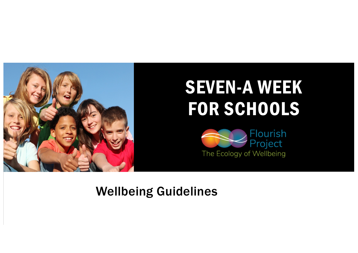

## SEVEN-A WEEK FOR SCHOOLS



## Wellbeing Guidelines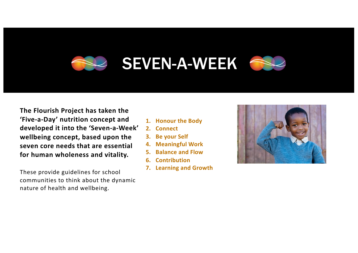## SEVEN-A-WEEK

**The Flourish Project has taken the 'Five-a-Day' nutrition concept and developed it into the 'Seven-a-Week' wellbeing concept, based upon the seven core needs that are essential for human wholeness and vitality.**

These provide guidelines for school communities to think about the dynamic nature of health and wellbeing.

- **1. Honour the Body**
- **2. Connect**
- **3. Be your Self**
- **4. Meaningful Work**
- **5. Balance and Flow**
- **6. Contribution**
- **7. Learning and Growth**

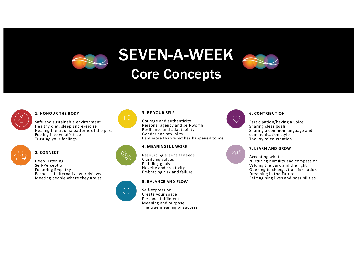



### **1. HONOUR THE BODY**

Safe and sustainable environment Healthy diet, sleep and exercise Healing the trauma patterns of the past Feeling into what's true Trusting your feelings



### **2. CONNECT**

Deep Listening Self-Perception Fostering Empathy Respect of alternative worldviews Meeting people where they are at



#### **3. BE YOUR SELF**

Courage and authenticity **P**ersonal agency and self-worth Resilience and adaptability Gender and sexuality I am more than what has happened to me



Resourcing essential needs Clarifying values Fulfilling goals Novelty and creativity Embracing risk and failure

#### **5. BALANCE AND FLOW**



Self-expression Create your space Personal fulfilment Meaning and purpose The true meaning of success



### **6. CONTRIBUTION**

Participation/having a voice Sharing clear goals Sharing a common language and communication style The joy of co-creation



#### **7. LEARN AND GROW**

Accepting what is Nurturing humility and compassion Valuing the dark and the light Opening to change/transformation Dreaming in the Future Reimagining lives and possibilities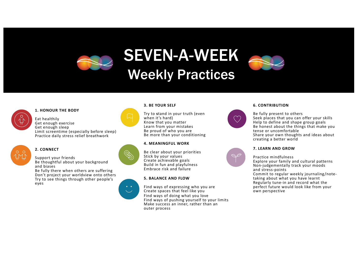



**1. HONOUR THE BODY**

Eat healthily Get enough exercise Get enough sleep Limit screentime (especially before sleep) Practice daily stress relief breathwork



#### **2. CONNECT**

Support your friends Be thoughtful about your background and biases

Be fully there when others are suffering Don't project your worldview onto others Try to see things through other people's eyes



Try to **s**tand in your truth (even when it's hard) Know that you matter Learn from your mistakes Be proud of who you are Be more than your conditioning

#### **4. MEANINGFUL WORK**

Be clear about your priorities Stick by your values Create achievable goals Build in fun and playfulness Embrace risk and failure

#### **5. BALANCE AND FLOW**

Find ways of expressing who you are Create spaces that feel like you Find ways of doing what you love Find ways of pushing yourself to your limits Make success an inner, rather than an outer process



#### **6. CONTRIBUTION**

Be fully present to others Seek places that you can offer your skills Help to define and shape group goals Be honest about the things that make you tense or uncomfortable Share your own thoughts and ideas about creating a better world



### **7. LEARN AND GROW**

Practice mindfulness Explore your family and cultural patterns Non-judgementally track your moods and stress-points Commit to regular weekly journaling/note- taking about what you have learnt Regularly tune-in and record what the perfect future would look like from your own perspective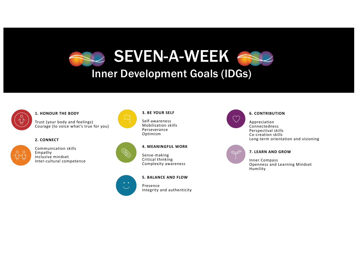



#### **1. HONOUR THE BODY**

Trust (your body and feelings) Courage (to voice what's true for you)

#### **2. CONNECT**



Communication skills Empathy Inclusive mindset Inter-cultural competence

#### **3. BE YOUR SELF**

Self-awareness Mobilisation skills Perseverance Optimism



#### **4. MEANINGFUL WORK**

Sense-making Critical thinking Complexity awareness



#### **5. BALANCE AND FLOW**

Presence Integrity and authenticity



#### **6. CONTRIBUTION**

Appreciation Connectedness Perspectival skills Co-creation skills Long-term orientation and visioning



#### **7. LEARN AND GROW**

Inner Compass Openness and Learning Mindset Humility